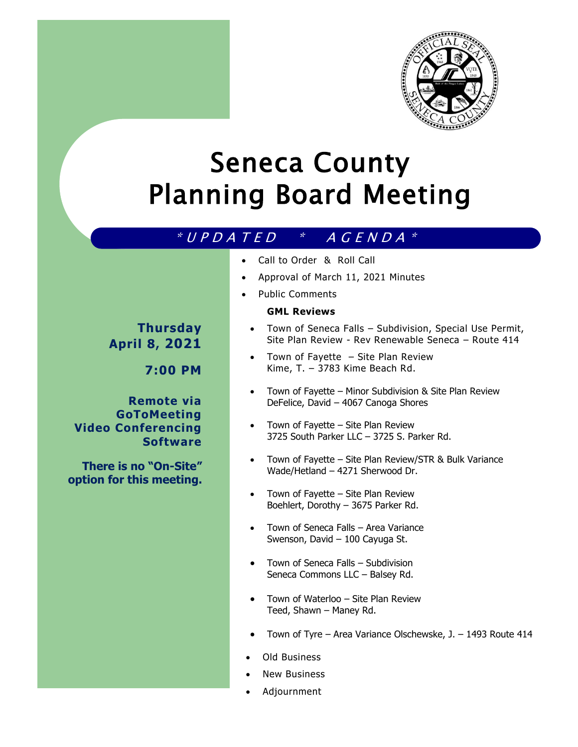

# Seneca County Planning Board Meeting

# $* U P D A T E D * A G E N D A *$

- Call to Order & Roll Call
- Approval of March 11, 2021 Minutes
- Public Comments

#### **GML Reviews**

# **Thursday April 8, 2021**

**7:00 PM**

### **Remote via GoToMeeting Video Conferencing Software**

**There is no "On-Site" option for this meeting.** 

- 
- Town of Seneca Falls Subdivision, Special Use Permit, Site Plan Review - Rev Renewable Seneca – Route 414
- Town of Fayette Site Plan Review Kime, T. – 3783 Kime Beach Rd.
- Town of Fayette Minor Subdivision & Site Plan Review DeFelice, David – 4067 Canoga Shores
- Town of Fayette Site Plan Review 3725 South Parker LLC – 3725 S. Parker Rd.
- Town of Fayette Site Plan Review/STR & Bulk Variance Wade/Hetland – 4271 Sherwood Dr.
- Town of Fayette Site Plan Review Boehlert, Dorothy – 3675 Parker Rd.
- Town of Seneca Falls Area Variance Swenson, David – 100 Cayuga St.
- Town of Seneca Falls Subdivision Seneca Commons LLC – Balsey Rd.
- Town of Waterloo Site Plan Review Teed, Shawn – Maney Rd.
- Town of Tyre Area Variance Olschewske, J. 1493 Route 414
- Old Business
- New Business
- Adjournment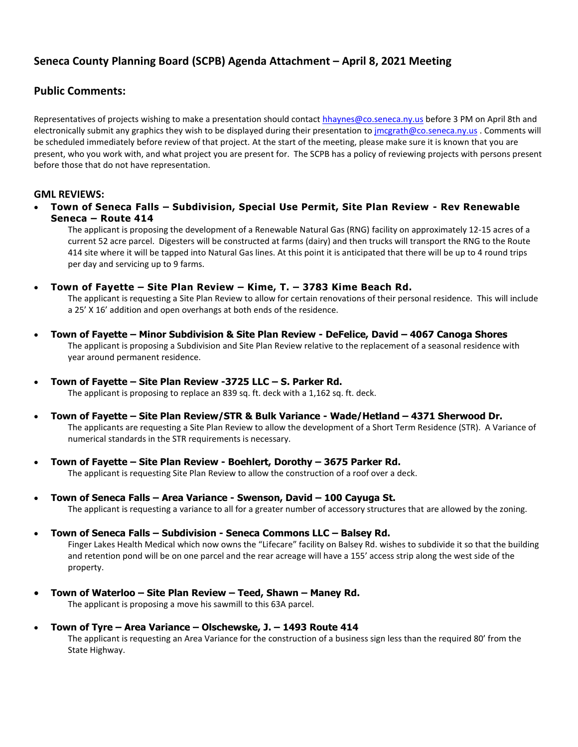## **Seneca County Planning Board (SCPB) Agenda Attachment – April 8, 2021 Meeting**

#### **Public Comments:**

Representatives of projects wishing to make a presentation should contac[t hhaynes@co.seneca.ny.us](mailto:hhaynes@co.seneca.ny.us) before 3 PM on April 8th and electronically submit any graphics they wish to be displayed during their presentation t[o jmcgrath@co.seneca.ny.us](mailto:jmcgrath@co.seneca.ny.us) . Comments will be scheduled immediately before review of that project. At the start of the meeting, please make sure it is known that you are present, who you work with, and what project you are present for. The SCPB has a policy of reviewing projects with persons present before those that do not have representation.

#### **GML REVIEWS:**

 **Town of Seneca Falls – Subdivision, Special Use Permit, Site Plan Review - Rev Renewable Seneca – Route 414** 

The applicant is proposing the development of a Renewable Natural Gas (RNG) facility on approximately 12-15 acres of a current 52 acre parcel. Digesters will be constructed at farms (dairy) and then trucks will transport the RNG to the Route 414 site where it will be tapped into Natural Gas lines. At this point it is anticipated that there will be up to 4 round trips per day and servicing up to 9 farms.

**Town of Fayette – Site Plan Review – Kime, T. – 3783 Kime Beach Rd.**

The applicant is requesting a Site Plan Review to allow for certain renovations of their personal residence. This will include a 25' X 16' addition and open overhangs at both ends of the residence.

- **Town of Fayette – Minor Subdivision & Site Plan Review - DeFelice, David – 4067 Canoga Shores** The applicant is proposing a Subdivision and Site Plan Review relative to the replacement of a seasonal residence with year around permanent residence.
- **Town of Fayette – Site Plan Review -3725 LLC – S. Parker Rd.**

The applicant is proposing to replace an 839 sq. ft. deck with a 1,162 sq. ft. deck.

- **Town of Fayette – Site Plan Review/STR & Bulk Variance - Wade/Hetland – 4371 Sherwood Dr.** The applicants are requesting a Site Plan Review to allow the development of a Short Term Residence (STR). A Variance of numerical standards in the STR requirements is necessary.
- **Town of Fayette – Site Plan Review - Boehlert, Dorothy – 3675 Parker Rd.** The applicant is requesting Site Plan Review to allow the construction of a roof over a deck.
- **Town of Seneca Falls – Area Variance - Swenson, David – 100 Cayuga St.** The applicant is requesting a variance to all for a greater number of accessory structures that are allowed by the zoning.
- **Town of Seneca Falls – Subdivision - Seneca Commons LLC – Balsey Rd.** Finger Lakes Health Medical which now owns the "Lifecare" facility on Balsey Rd. wishes to subdivide it so that the building and retention pond will be on one parcel and the rear acreage will have a 155' access strip along the west side of the
	- property.
- **Town of Waterloo – Site Plan Review – Teed, Shawn – Maney Rd.** The applicant is proposing a move his sawmill to this 63A parcel.
- **Town of Tyre – Area Variance – Olschewske, J. – 1493 Route 414** The applicant is requesting an Area Variance for the construction of a business sign less than the required 80' from the State Highway.